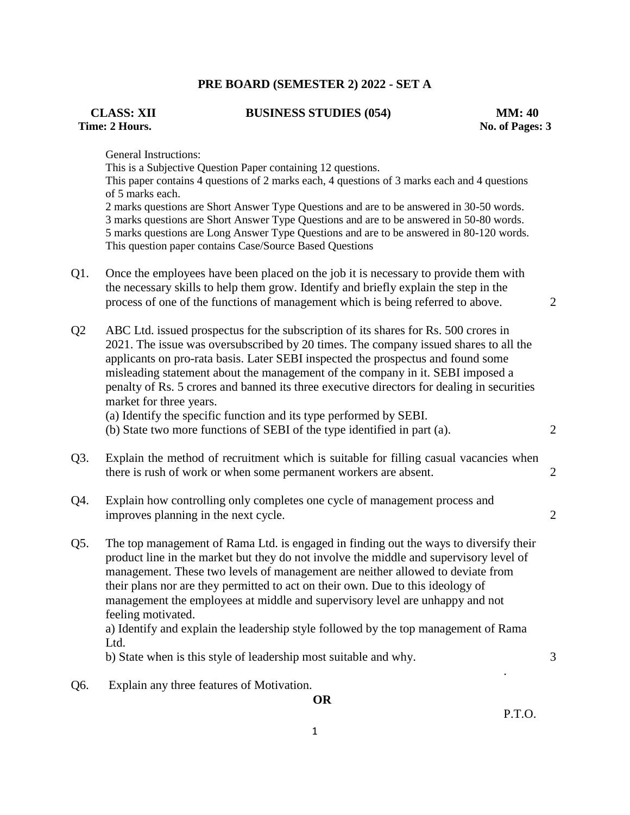## **PRE BOARD (SEMESTER 2) 2022 - SET A**

## **Time: 2 Hours. No. of Pages: 3**

**CLASS: XII BUSINESS STUDIES (054) MM: 40**

General Instructions:

This is a Subjective Question Paper containing 12 questions. This paper contains 4 questions of 2 marks each, 4 questions of 3 marks each and 4 questions of 5 marks each. 2 marks questions are Short Answer Type Questions and are to be answered in 30-50 words. 3 marks questions are Short Answer Type Questions and are to be answered in 50-80 words. 5 marks questions are Long Answer Type Questions and are to be answered in 80-120 words. This question paper contains Case/Source Based Questions

- Q1. Once the employees have been placed on the job it is necessary to provide them with the necessary skills to help them grow. Identify and briefly explain the step in the process of one of the functions of management which is being referred to above. 2
- Q2 ABC Ltd. issued prospectus for the subscription of its shares for Rs. 500 crores in 2021. The issue was oversubscribed by 20 times. The company issued shares to all the applicants on pro-rata basis. Later SEBI inspected the prospectus and found some misleading statement about the management of the company in it. SEBI imposed a penalty of Rs. 5 crores and banned its three executive directors for dealing in securities market for three years.

(a) Identify the specific function and its type performed by SEBI.

(b) State two more functions of SEBI of the type identified in part (a). 2

- Q3. Explain the method of recruitment which is suitable for filling casual vacancies when there is rush of work or when some permanent workers are absent. 2
- Q4. Explain how controlling only completes one cycle of management process and improves planning in the next cycle. 2
- Q5. The top management of Rama Ltd. is engaged in finding out the ways to diversify their product line in the market but they do not involve the middle and supervisory level of management. These two levels of management are neither allowed to deviate from their plans nor are they permitted to act on their own. Due to this ideology of management the employees at middle and supervisory level are unhappy and not feeling motivated.

a) Identify and explain the leadership style followed by the top management of Rama Ltd.

.

b) State when is this style of leadership most suitable and why.

Q6. Explain any three features of Motivation.

**OR**

P.T.O.

3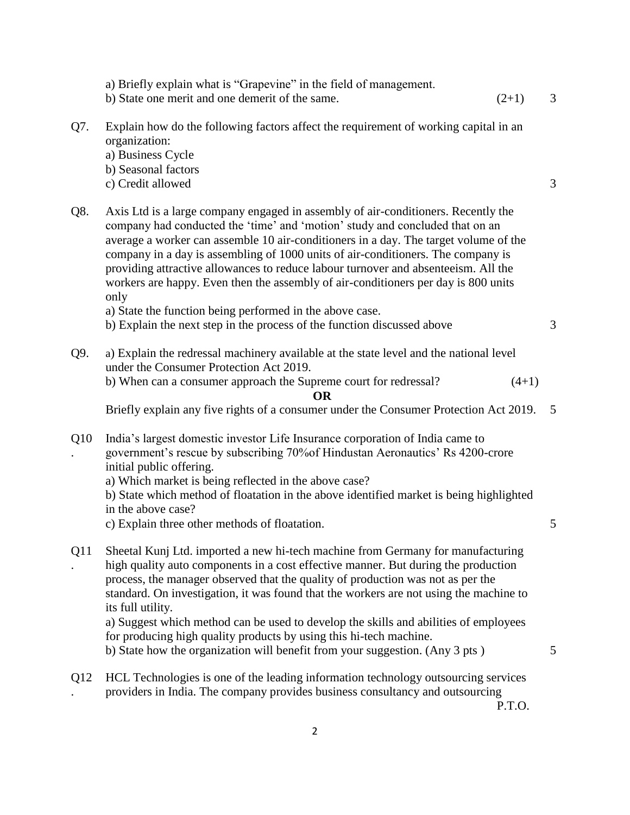| a) Briefly explain what is "Grapevine" in the field of management.<br>b) State one merit and one demerit of the same.                                                                    | $(2+1)$                                                                   | 3                                                                                                                                                                                                                                                                                                                                                                                                                                                                                                                                                                                                                                                                                                                                                                                                                                                                                                                                                                                                                                                                                                                                                                                                                                                                                                                                                                                                                                                                                                                                                                                                      |
|------------------------------------------------------------------------------------------------------------------------------------------------------------------------------------------|---------------------------------------------------------------------------|--------------------------------------------------------------------------------------------------------------------------------------------------------------------------------------------------------------------------------------------------------------------------------------------------------------------------------------------------------------------------------------------------------------------------------------------------------------------------------------------------------------------------------------------------------------------------------------------------------------------------------------------------------------------------------------------------------------------------------------------------------------------------------------------------------------------------------------------------------------------------------------------------------------------------------------------------------------------------------------------------------------------------------------------------------------------------------------------------------------------------------------------------------------------------------------------------------------------------------------------------------------------------------------------------------------------------------------------------------------------------------------------------------------------------------------------------------------------------------------------------------------------------------------------------------------------------------------------------------|
| organization:<br>a) Business Cycle<br>b) Seasonal factors<br>c) Credit allowed                                                                                                           |                                                                           | 3                                                                                                                                                                                                                                                                                                                                                                                                                                                                                                                                                                                                                                                                                                                                                                                                                                                                                                                                                                                                                                                                                                                                                                                                                                                                                                                                                                                                                                                                                                                                                                                                      |
| only<br>a) State the function being performed in the above case.                                                                                                                         |                                                                           |                                                                                                                                                                                                                                                                                                                                                                                                                                                                                                                                                                                                                                                                                                                                                                                                                                                                                                                                                                                                                                                                                                                                                                                                                                                                                                                                                                                                                                                                                                                                                                                                        |
| b) Explain the next step in the process of the function discussed above                                                                                                                  |                                                                           | 3                                                                                                                                                                                                                                                                                                                                                                                                                                                                                                                                                                                                                                                                                                                                                                                                                                                                                                                                                                                                                                                                                                                                                                                                                                                                                                                                                                                                                                                                                                                                                                                                      |
|                                                                                                                                                                                          |                                                                           |                                                                                                                                                                                                                                                                                                                                                                                                                                                                                                                                                                                                                                                                                                                                                                                                                                                                                                                                                                                                                                                                                                                                                                                                                                                                                                                                                                                                                                                                                                                                                                                                        |
| b) When can a consumer approach the Supreme court for redressal?                                                                                                                         | $(4+1)$                                                                   |                                                                                                                                                                                                                                                                                                                                                                                                                                                                                                                                                                                                                                                                                                                                                                                                                                                                                                                                                                                                                                                                                                                                                                                                                                                                                                                                                                                                                                                                                                                                                                                                        |
|                                                                                                                                                                                          |                                                                           | - 5                                                                                                                                                                                                                                                                                                                                                                                                                                                                                                                                                                                                                                                                                                                                                                                                                                                                                                                                                                                                                                                                                                                                                                                                                                                                                                                                                                                                                                                                                                                                                                                                    |
| India's largest domestic investor Life Insurance corporation of India came to<br>initial public offering.<br>a) Which market is being reflected in the above case?<br>in the above case? |                                                                           |                                                                                                                                                                                                                                                                                                                                                                                                                                                                                                                                                                                                                                                                                                                                                                                                                                                                                                                                                                                                                                                                                                                                                                                                                                                                                                                                                                                                                                                                                                                                                                                                        |
| c) Explain three other methods of floatation.                                                                                                                                            |                                                                           | 5                                                                                                                                                                                                                                                                                                                                                                                                                                                                                                                                                                                                                                                                                                                                                                                                                                                                                                                                                                                                                                                                                                                                                                                                                                                                                                                                                                                                                                                                                                                                                                                                      |
|                                                                                                                                                                                          |                                                                           |                                                                                                                                                                                                                                                                                                                                                                                                                                                                                                                                                                                                                                                                                                                                                                                                                                                                                                                                                                                                                                                                                                                                                                                                                                                                                                                                                                                                                                                                                                                                                                                                        |
| for producing high quality products by using this hi-tech machine.<br>b) State how the organization will benefit from your suggestion. (Any 3 pts)                                       |                                                                           | 5                                                                                                                                                                                                                                                                                                                                                                                                                                                                                                                                                                                                                                                                                                                                                                                                                                                                                                                                                                                                                                                                                                                                                                                                                                                                                                                                                                                                                                                                                                                                                                                                      |
|                                                                                                                                                                                          | P.T.O.                                                                    |                                                                                                                                                                                                                                                                                                                                                                                                                                                                                                                                                                                                                                                                                                                                                                                                                                                                                                                                                                                                                                                                                                                                                                                                                                                                                                                                                                                                                                                                                                                                                                                                        |
|                                                                                                                                                                                          | under the Consumer Protection Act 2019.<br><b>OR</b><br>its full utility. | Explain how do the following factors affect the requirement of working capital in an<br>Axis Ltd is a large company engaged in assembly of air-conditioners. Recently the<br>company had conducted the 'time' and 'motion' study and concluded that on an<br>average a worker can assemble 10 air-conditioners in a day. The target volume of the<br>company in a day is assembling of 1000 units of air-conditioners. The company is<br>providing attractive allowances to reduce labour turnover and absenteeism. All the<br>workers are happy. Even then the assembly of air-conditioners per day is 800 units<br>a) Explain the redressal machinery available at the state level and the national level<br>Briefly explain any five rights of a consumer under the Consumer Protection Act 2019.<br>government's rescue by subscribing 70% of Hindustan Aeronautics' Rs 4200-crore<br>b) State which method of floatation in the above identified market is being highlighted<br>Sheetal Kunj Ltd. imported a new hi-tech machine from Germany for manufacturing<br>high quality auto components in a cost effective manner. But during the production<br>process, the manager observed that the quality of production was not as per the<br>standard. On investigation, it was found that the workers are not using the machine to<br>a) Suggest which method can be used to develop the skills and abilities of employees<br>HCL Technologies is one of the leading information technology outsourcing services<br>providers in India. The company provides business consultancy and outsourcing |